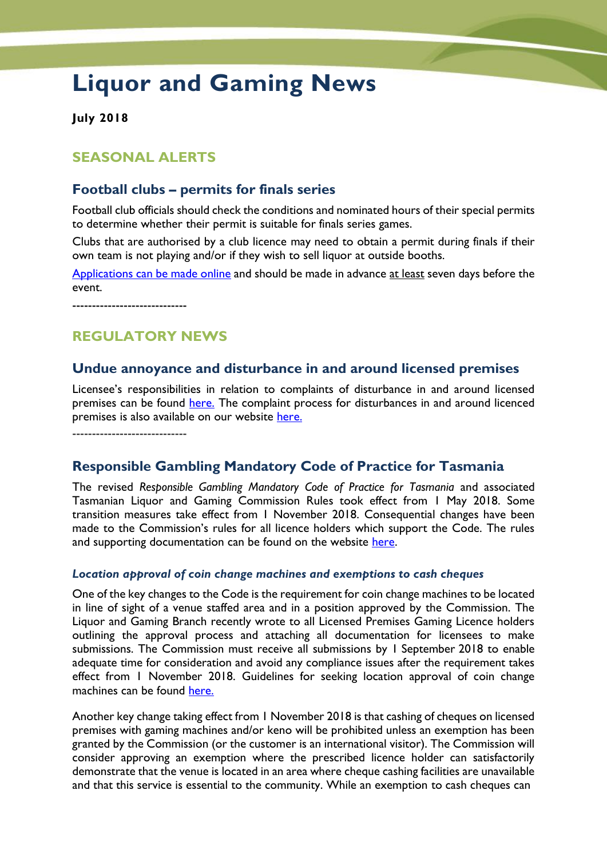# **Liquor and Gaming News**

**July 2018**

# **SEASONAL ALERTS**

### **Football clubs – permits for finals series**

Football club officials should check the conditions and nominated hours of their special permits to determine whether their permit is suitable for finals series games.

Clubs that are authorised by a club licence may need to obtain a permit during finals if their own team is not playing and/or if they wish to sell liquor at outside booths.

[Applications can be made online](http://www.treasury.tas.gov.au/liquor-and-gaming) and should be made in advance at least seven days before the event.

-----------------------------

# **REGULATORY NEWS**

#### **Undue annoyance and disturbance in and around licensed premises**

Licensee's responsibilities in relation to complaints of disturbance in and around licensed premises can be found [here.](http://www.treasury.tas.gov.au/Documents/LicenseeResponsibilitiesFactSheetSep2016.pdf) The complaint process for disturbances in and around licenced premises is also available on our website [here.](http://www.treasury.tas.gov.au/Documents/ComplaintProcessDisturbanceInandAroundLicensedPremisesSep2016.pdf)

-----------------------------

# **Responsible Gambling Mandatory Code of Practice for Tasmania**

The revised *Responsible Gambling Mandatory Code of Practice for Tasmania* and associated Tasmanian Liquor and Gaming Commission Rules took effect from 1 May 2018. Some transition measures take effect from 1 November 2018. Consequential changes have been made to the Commission's rules for all licence holders which support the Code. The rules and supporting documentation can be found on the website [here.](http://www.treasury.tas.gov.au/liquor-and-gaming/gambling/reduce-harm-from-gambling/mandatory-code-of-practice)

#### *Location approval of coin change machines and exemptions to cash cheques*

One of the key changes to the Code is the requirement for coin change machines to be located in line of sight of a venue staffed area and in a position approved by the Commission. The Liquor and Gaming Branch recently wrote to all Licensed Premises Gaming Licence holders outlining the approval process and attaching all documentation for licensees to make submissions. The Commission must receive all submissions by 1 September 2018 to enable adequate time for consideration and avoid any compliance issues after the requirement takes effect from 1 November 2018. Guidelines for seeking location approval of coin change machines can be found [here.](http://www.treasury.tas.gov.au/Documents/Guidelines%20for%20seeking%20location%20approval%20of%20coin%20change%20dispensing%20machines.pdf)

Another key change taking effect from 1 November 2018 is that cashing of cheques on licensed premises with gaming machines and/or keno will be prohibited unless an exemption has been granted by the Commission (or the customer is an international visitor). The Commission will consider approving an exemption where the prescribed licence holder can satisfactorily demonstrate that the venue is located in an area where cheque cashing facilities are unavailable and that this service is essential to the community. While an exemption to cash cheques can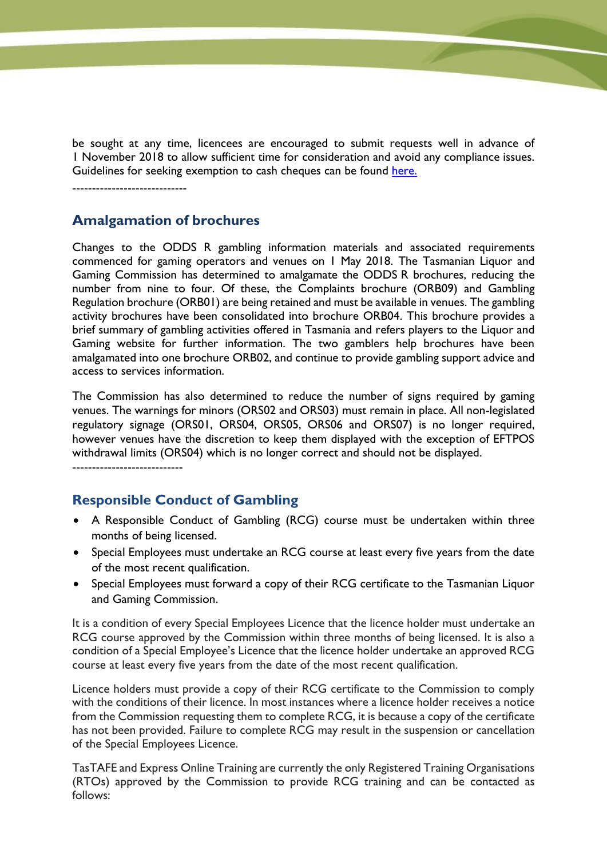be sought at any time, licencees are encouraged to submit requests well in advance of 1 November 2018 to allow sufficient time for consideration and avoid any compliance issues. Guidelines for seeking exemption to cash cheques can be found [here.](http://www.treasury.tas.gov.au/Documents/Guidelines%20for%20seeking%20exemption%20to%20cash%20cheques.PDF)

-----------------------------

## **Amalgamation of brochures**

Changes to the ODDS R gambling information materials and associated requirements commenced for gaming operators and venues on 1 May 2018. The Tasmanian Liquor and Gaming Commission has determined to amalgamate the ODDS R brochures, reducing the number from nine to four. Of these, the Complaints brochure (ORB09) and Gambling Regulation brochure (ORB01) are being retained and must be available in venues. The gambling activity brochures have been consolidated into brochure ORB04. This brochure provides a brief summary of gambling activities offered in Tasmania and refers players to the Liquor and Gaming website for further information. The two gamblers help brochures have been amalgamated into one brochure ORB02, and continue to provide gambling support advice and access to services information.

The Commission has also determined to reduce the number of signs required by gaming venues. The warnings for minors (ORS02 and ORS03) must remain in place. All non-legislated regulatory signage (ORS01, ORS04, ORS05, ORS06 and ORS07) is no longer required, however venues have the discretion to keep them displayed with the exception of EFTPOS withdrawal limits (ORS04) which is no longer correct and should not be displayed.

----------------------------

# **Responsible Conduct of Gambling**

- A Responsible Conduct of Gambling (RCG) course must be undertaken within three months of being licensed.
- Special Employees must undertake an RCG course at least every five years from the date of the most recent qualification.
- Special Employees must forward a copy of their RCG certificate to the Tasmanian Liquor and Gaming Commission.

It is a condition of every Special Employees Licence that the licence holder must undertake an RCG course approved by the Commission within three months of being licensed. It is also a condition of a Special Employee's Licence that the licence holder undertake an approved RCG course at least every five years from the date of the most recent qualification.

Licence holders must provide a copy of their RCG certificate to the Commission to comply with the conditions of their licence. In most instances where a licence holder receives a notice from the Commission requesting them to complete RCG, it is because a copy of the certificate has not been provided. Failure to complete RCG may result in the suspension or cancellation of the Special Employees Licence.

TasTAFE and Express Online Training are currently the only Registered Training Organisations (RTOs) approved by the Commission to provide RCG training and can be contacted as follows: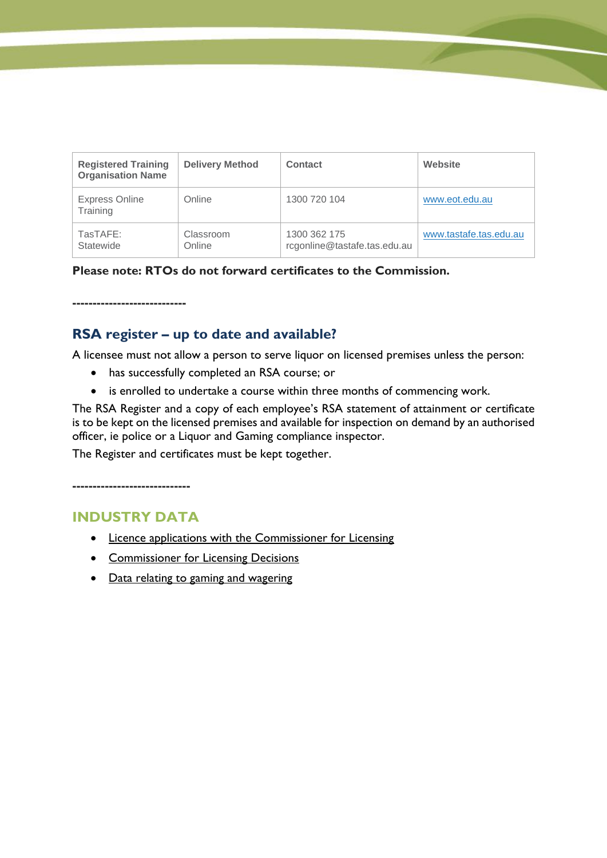| <b>Registered Training</b><br><b>Organisation Name</b> | <b>Delivery Method</b> | Contact                                      | Website                |
|--------------------------------------------------------|------------------------|----------------------------------------------|------------------------|
| <b>Express Online</b><br>Training                      | Online                 | 1300 720 104                                 | www.eot.edu.au         |
| TasTAFE:<br>Statewide                                  | Classroom<br>Online    | 1300 362 175<br>rcgonline@tastafe.tas.edu.au | www.tastafe.tas.edu.au |

**Please note: RTOs do not forward certificates to the Commission.**

**----------------------------**

# **RSA register – up to date and available?**

A licensee must not allow a person to serve liquor on licensed premises unless the person:

- has successfully completed an RSA course; or
- is enrolled to undertake a course within three months of commencing work.

The RSA Register and a copy of each employee's RSA statement of attainment or certificate is to be kept on the licensed premises and available for inspection on demand by an authorised officer, ie police or a Liquor and Gaming compliance inspector.

The Register and certificates must be kept together.

**-----------------------------**

# **INDUSTRY DATA**

- [Licence applications with the Commissioner for Licensing](http://www.treasury.tas.gov.au/liquor-and-gaming/about-us/commissioner-for-licensing/applications-with-commissioner)
- [Commissioner for Licensing Decisions](http://www.treasury.tas.gov.au/liquor-and-gaming/about-us/commissioner-for-licensing/liquor-licence-decisions)
- [Data relating to gaming and wagering](http://www.treasury.tas.gov.au/liquor-and-gaming/legislation-and-data/gambling-industry-data)